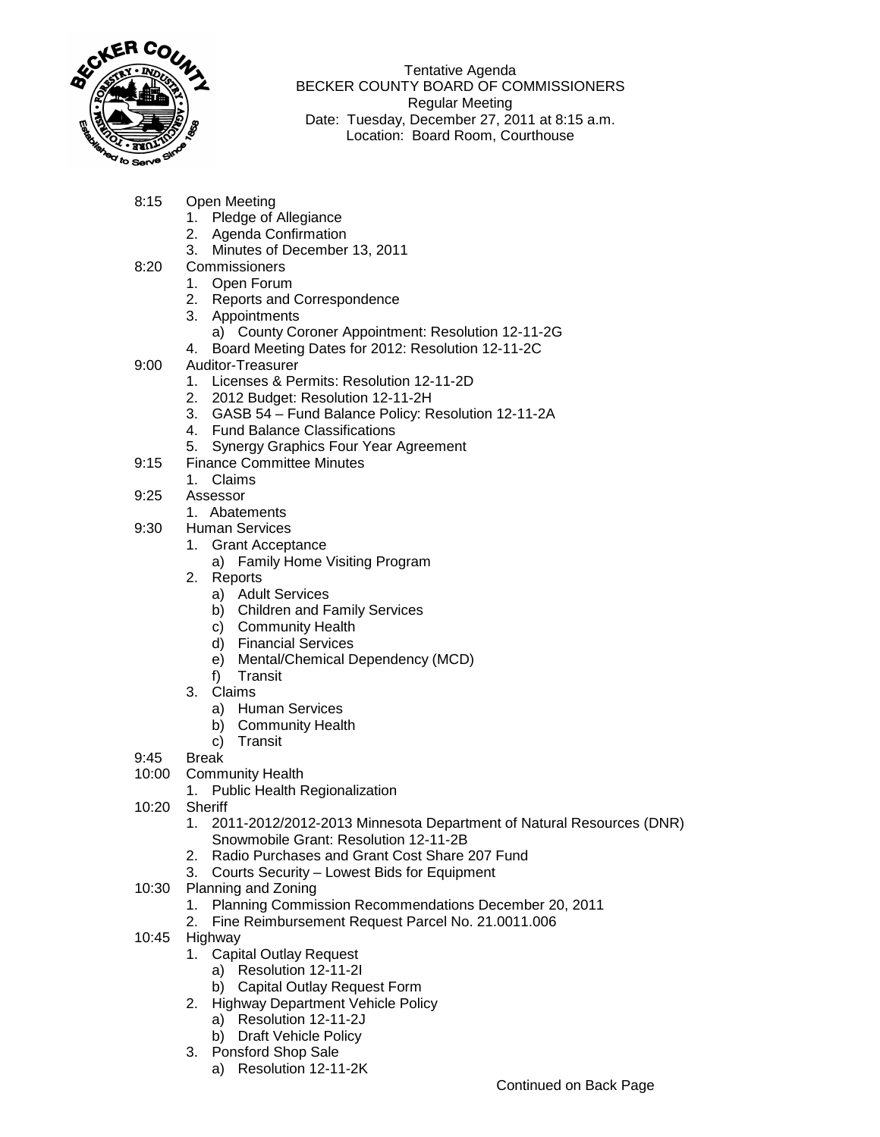

Tentative Agenda BECKER COUNTY BOARD OF COMMISSIONERS Regular Meeting Date: Tuesday, December 27, 2011 at 8:15 a.m. Location: Board Room, Courthouse

- 8:15 Open Meeting
	- 1. Pledge of Allegiance
	- 2. Agenda Confirmation
	- 3. Minutes of December 13, 2011
- 8:20 Commissioners
	- 1. Open Forum
	- 2. Reports and Correspondence
	- 3. Appointments
		- a) County Coroner Appointment: Resolution 12-11-2G
	- 4. Board Meeting Dates for 2012: Resolution 12-11-2C
- 9:00 Auditor-Treasurer
	- 1. Licenses & Permits: Resolution 12-11-2D
	- 2. 2012 Budget: Resolution 12-11-2H
	- 3. GASB 54 Fund Balance Policy: Resolution 12-11-2A
	- 4. Fund Balance Classifications
	- 5. Synergy Graphics Four Year Agreement
- 9:15 Finance Committee Minutes
	- 1. Claims
- 9:25 Assessor
	- 1. Abatements
- 9:30 Human Services
	- 1. Grant Acceptance
		- a) Family Home Visiting Program
	- 2. Reports
		- a) Adult Services
		- b) Children and Family Services
		- c) Community Health
		- d) Financial Services
		- e) Mental/Chemical Dependency (MCD)
		- f) Transit
	- 3. Claims
		- a) Human Services
		- b) Community Health
		- c) Transit
- 9:45 Break
- 10:00 Community Health
	- 1. Public Health Regionalization
- 10:20 Sheriff
	- 1. 2011-2012/2012-2013 Minnesota Department of Natural Resources (DNR) Snowmobile Grant: Resolution 12-11-2B
	- 2. Radio Purchases and Grant Cost Share 207 Fund
	- 3. Courts Security Lowest Bids for Equipment
- 10:30 Planning and Zoning
	- 1. Planning Commission Recommendations December 20, 2011
	- 2. Fine Reimbursement Request Parcel No. 21.0011.006
- 10:45 Highway
	- 1. Capital Outlay Request
		- a) Resolution 12-11-2I
		- b) Capital Outlay Request Form
	- 2. Highway Department Vehicle Policy
		- a) Resolution 12-11-2J
		- b) Draft Vehicle Policy
	- 3. Ponsford Shop Sale
		- a) Resolution 12-11-2K